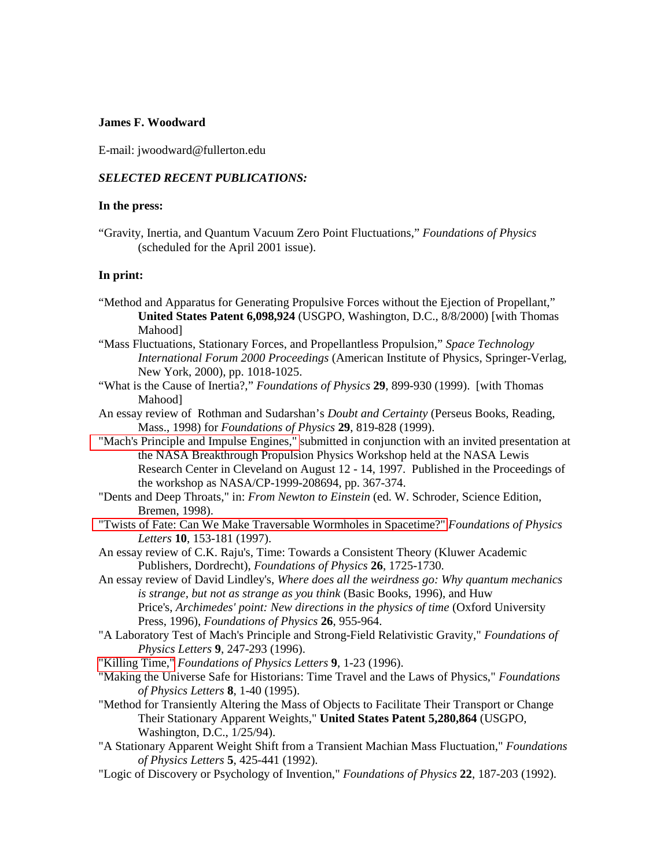## **James F. Woodward**

E-mail: jwoodward@fullerton.edu

## *SELECTED RECENT PUBLICATIONS:*

## **In the press:**

"Gravity, Inertia, and Quantum Vacuum Zero Point Fluctuations," *Foundations of Physics* (scheduled for the April 2001 issue).

## **In print:**

- "Method and Apparatus for Generating Propulsive Forces without the Ejection of Propellant," **United States Patent 6,098,924** (USGPO, Washington, D.C., 8/8/2000) [with Thomas Mahood]
- "Mass Fluctuations, Stationary Forces, and Propellantless Propulsion," *Space Technology International Forum 2000 Proceedings* (American Institute of Physics, Springer-Verlag, New York, 2000), pp. 1018-1025.
- "What is the Cause of Inertia?," *Foundations of Physics* **29**, 899-930 (1999). [with Thomas Mahood]
- An essay review of Rothman and Sudarshan's *Doubt and Certainty* (Perseus Books, Reading, Mass., 1998) for *Foundations of Physics* **29**, 819-828 (1999).
- ["Mach's Principle and Impulse Engines,"](http://chaos.fullerton.edu/~jimw/nasa-pap) submitted in conjunction with an invited presentation at the NASA Breakthrough Propulsion Physics Workshop held at the NASA Lewis Research Center in Cleveland on August 12 - 14, 1997. Published in the Proceedings of the workshop as NASA/CP-1999-208694, pp. 367-374.
- "Dents and Deep Throats," in: *From Newton to Einstein* (ed. W. Schroder, Science Edition, Bremen, 1998).
- ["Twists of Fate: Can We Make Traversable Wormholes in Spacetime?"](http://chaos.fullerton.edu/~jimw/Twists.pdf) *Foundations of Physics Letters* **10**, 153-181 (1997).
- An essay review of C.K. Raju's, Time: Towards a Consistent Theory (Kluwer Academic Publishers, Dordrecht), *Foundations of Physics* **26**, 1725-1730.
- An essay review of David Lindley's, *Where does all the weirdness go: Why quantum mechanics is strange, but not as strange as you think* (Basic Books, 1996), and Huw Price's, *Archimedes' point: New directions in the physics of time* (Oxford University Press, 1996), *Foundations of Physics* **26**, 955-964.
- "A Laboratory Test of Mach's Principle and Strong-Field Relativistic Gravity," *Foundations of Physics Letters* **9**, 247-293 (1996).

["Killing Time,"](http://chaos.fullerton.edu/~jimw/kill-time) *Foundations of Physics Letters* **9**, 1-23 (1996).

- "Making the Universe Safe for Historians: Time Travel and the Laws of Physics," *Foundations of Physics Letters* **8**, 1-40 (1995).
- "Method for Transiently Altering the Mass of Objects to Facilitate Their Transport or Change Their Stationary Apparent Weights," **United States Patent 5,280,864** (USGPO, Washington, D.C., 1/25/94).
- "A Stationary Apparent Weight Shift from a Transient Machian Mass Fluctuation," *Foundations of Physics Letters* **5**, 425-441 (1992).
- "Logic of Discovery or Psychology of Invention," *Foundations of Physics* **22**, 187-203 (1992).